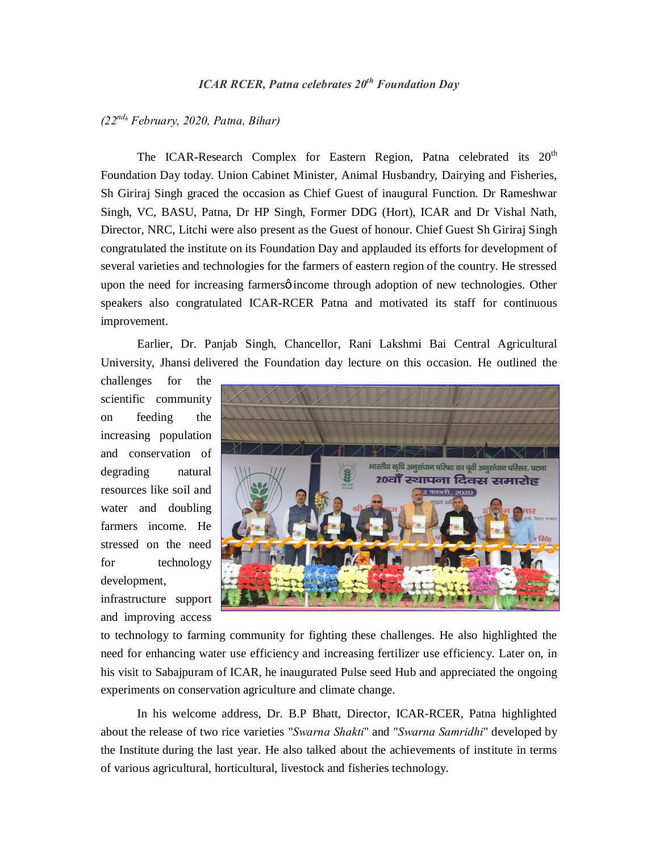## *(22ndh February, 2020, Patna, Bihar)*

The ICAR-Research Complex for Eastern Region, Patna celebrated its 20<sup>th</sup> Foundation Day today. Union Cabinet Minister, Animal Husbandry, Dairying and Fisheries, Sh Giriraj Singh graced the occasion as Chief Guest of inaugural Function. Dr Rameshwar Singh, VC, BASU, Patna, Dr HP Singh, Former DDG (Hort), ICAR and Dr Vishal Nath, Director, NRC, Litchi were also present as the Guest of honour. Chief Guest Sh Giriraj Singh congratulated the institute on its Foundation Day and applauded its efforts for development of several varieties and technologies for the farmers of eastern region of the country. He stressed upon the need for increasing farmers o income through adoption of new technologies. Other speakers also congratulated ICAR-RCER Patna and motivated its staff for continuous improvement.

Earlier, Dr. Panjab Singh, Chancellor, Rani Lakshmi Bai Central Agricultural University, Jhansi delivered the Foundation day lecture on this occasion. He outlined the

challenges for the scientific community on feeding the increasing population and conservation of degrading natural resources like soil and water and doubling farmers income. He stressed on the need for technology development, infrastructure support

and improving access



to technology to farming community for fighting these challenges. He also highlighted the need for enhancing water use efficiency and increasing fertilizer use efficiency. Later on, in his visit to Sabajpuram of ICAR, he inaugurated Pulse seed Hub and appreciated the ongoing experiments on conservation agriculture and climate change.

In his welcome address, Dr. B.P Bhatt, Director, ICAR-RCER, Patna highlighted about the release of two rice varieties "*Swarna Shakti*" and "*Swarna Samridhi*" developed by the Institute during the last year. He also talked about the achievements of institute in terms of various agricultural, horticultural, livestock and fisheries technology.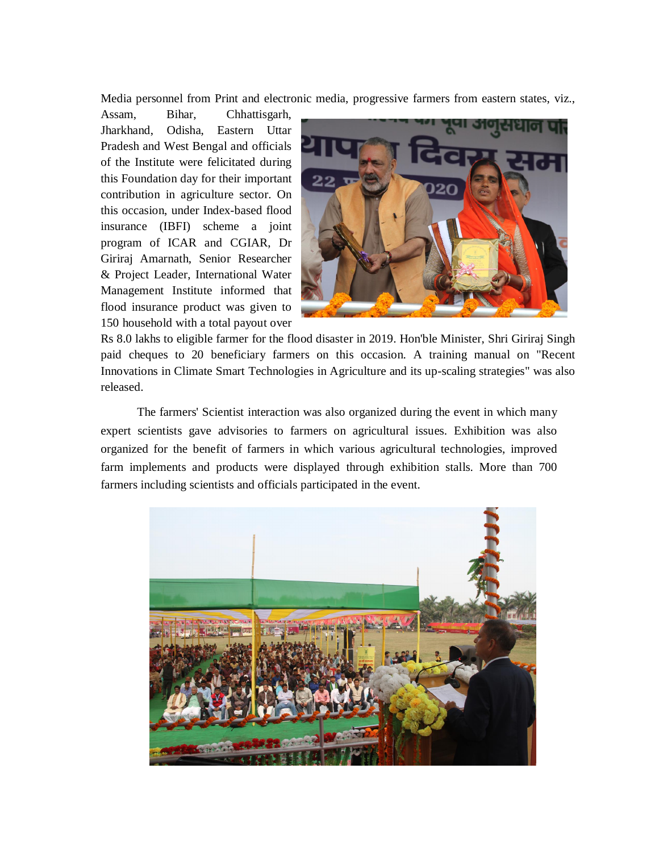Media personnel from Print and electronic media, progressive farmers from eastern states, viz.,

Assam, Bihar, Chhattisgarh, Jharkhand, Odisha, Eastern Uttar Pradesh and West Bengal and officials of the Institute were felicitated during this Foundation day for their important contribution in agriculture sector. On this occasion, under Index-based flood insurance (IBFI) scheme a joint program of ICAR and CGIAR, Dr Giriraj Amarnath, Senior Researcher & Project Leader, International Water Management Institute informed that flood insurance product was given to 150 household with a total payout over



Rs 8.0 lakhs to eligible farmer for the flood disaster in 2019. Hon'ble Minister, Shri Giriraj Singh paid cheques to 20 beneficiary farmers on this occasion. A training manual on "Recent Innovations in Climate Smart Technologies in Agriculture and its up-scaling strategies" was also released.

The farmers' Scientist interaction was also organized during the event in which many expert scientists gave advisories to farmers on agricultural issues. Exhibition was also organized for the benefit of farmers in which various agricultural technologies, improved farm implements and products were displayed through exhibition stalls. More than 700 farmers including scientists and officials participated in the event.